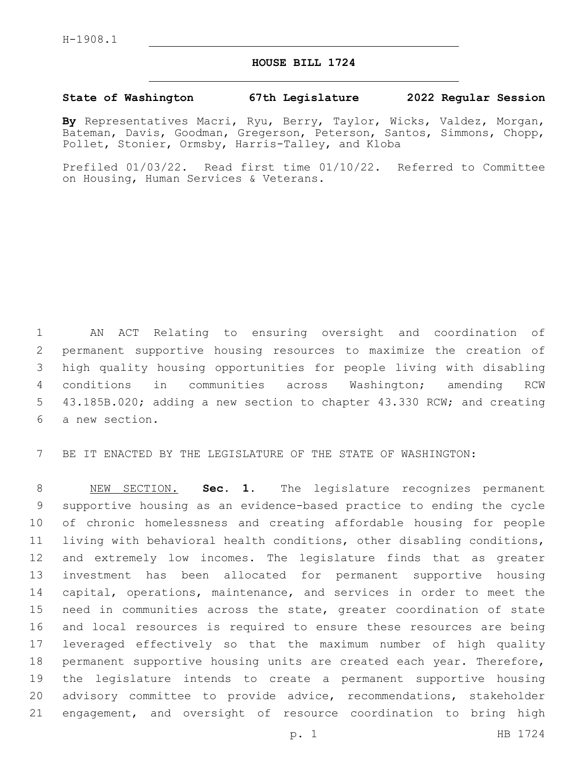## **HOUSE BILL 1724**

## **State of Washington 67th Legislature 2022 Regular Session**

**By** Representatives Macri, Ryu, Berry, Taylor, Wicks, Valdez, Morgan, Bateman, Davis, Goodman, Gregerson, Peterson, Santos, Simmons, Chopp, Pollet, Stonier, Ormsby, Harris-Talley, and Kloba

Prefiled 01/03/22. Read first time 01/10/22. Referred to Committee on Housing, Human Services & Veterans.

 AN ACT Relating to ensuring oversight and coordination of permanent supportive housing resources to maximize the creation of high quality housing opportunities for people living with disabling conditions in communities across Washington; amending RCW 43.185B.020; adding a new section to chapter 43.330 RCW; and creating 6 a new section.

BE IT ENACTED BY THE LEGISLATURE OF THE STATE OF WASHINGTON:

 NEW SECTION. **Sec. 1.** The legislature recognizes permanent supportive housing as an evidence-based practice to ending the cycle of chronic homelessness and creating affordable housing for people living with behavioral health conditions, other disabling conditions, and extremely low incomes. The legislature finds that as greater investment has been allocated for permanent supportive housing capital, operations, maintenance, and services in order to meet the need in communities across the state, greater coordination of state and local resources is required to ensure these resources are being leveraged effectively so that the maximum number of high quality permanent supportive housing units are created each year. Therefore, the legislature intends to create a permanent supportive housing advisory committee to provide advice, recommendations, stakeholder engagement, and oversight of resource coordination to bring high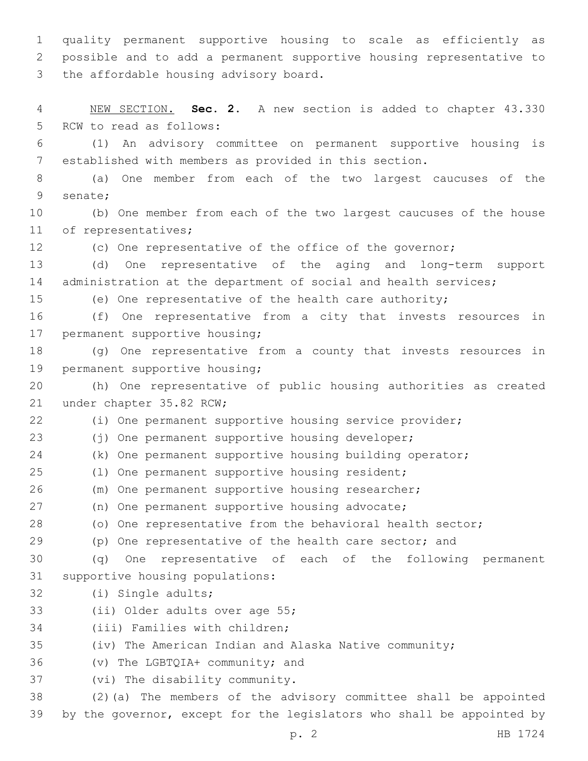1 quality permanent supportive housing to scale as efficiently as 2 possible and to add a permanent supportive housing representative to 3 the affordable housing advisory board.

4 NEW SECTION. **Sec. 2.** A new section is added to chapter 43.330 5 RCW to read as follows:

6 (1) An advisory committee on permanent supportive housing is 7 established with members as provided in this section.

8 (a) One member from each of the two largest caucuses of the 9 senate;

10 (b) One member from each of the two largest caucuses of the house 11 of representatives;

12 (c) One representative of the office of the governor;

13 (d) One representative of the aging and long-term support 14 administration at the department of social and health services;

15 (e) One representative of the health care authority;

16 (f) One representative from a city that invests resources in 17 permanent supportive housing;

18 (g) One representative from a county that invests resources in 19 permanent supportive housing;

20 (h) One representative of public housing authorities as created 21 under chapter 35.82 RCW;

22 (i) One permanent supportive housing service provider;

23 (j) One permanent supportive housing developer;

24 (k) One permanent supportive housing building operator;

25 (l) One permanent supportive housing resident;

26 (m) One permanent supportive housing researcher;

27 (n) One permanent supportive housing advocate;

28 (o) One representative from the behavioral health sector;

29 (p) One representative of the health care sector; and

30 (q) One representative of each of the following permanent 31 supportive housing populations:

- 32 (i) Single adults;
- 33 (ii) Older adults over age 55;

34 (iii) Families with children;

35 (iv) The American Indian and Alaska Native community;

36 (v) The LGBTQIA+ community; and

37 (vi) The disability community.

38 (2)(a) The members of the advisory committee shall be appointed 39 by the governor, except for the legislators who shall be appointed by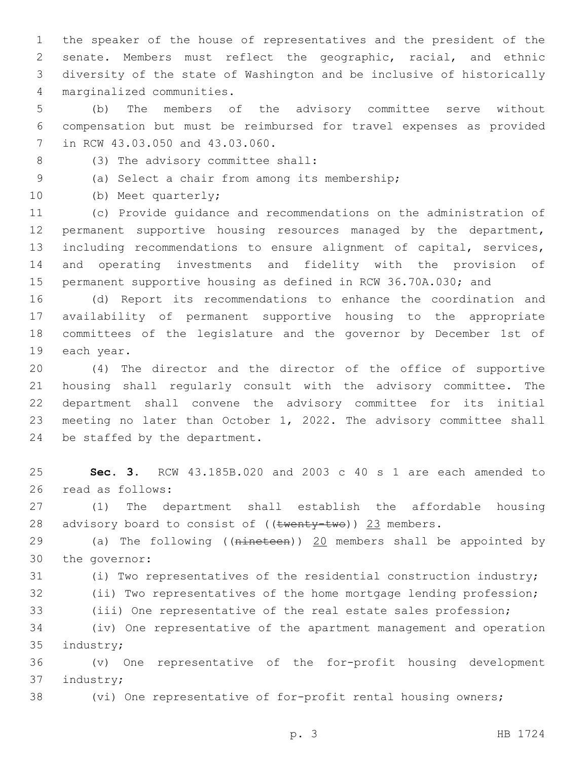the speaker of the house of representatives and the president of the senate. Members must reflect the geographic, racial, and ethnic diversity of the state of Washington and be inclusive of historically marginalized communities.4

 (b) The members of the advisory committee serve without compensation but must be reimbursed for travel expenses as provided 7 in RCW 43.03.050 and 43.03.060.

(3) The advisory committee shall:8

(a) Select a chair from among its membership;9

10 (b) Meet quarterly;

 (c) Provide guidance and recommendations on the administration of permanent supportive housing resources managed by the department, including recommendations to ensure alignment of capital, services, and operating investments and fidelity with the provision of permanent supportive housing as defined in RCW 36.70A.030; and

 (d) Report its recommendations to enhance the coordination and availability of permanent supportive housing to the appropriate committees of the legislature and the governor by December 1st of 19 each year.

 (4) The director and the director of the office of supportive housing shall regularly consult with the advisory committee. The department shall convene the advisory committee for its initial meeting no later than October 1, 2022. The advisory committee shall 24 be staffed by the department.

 **Sec. 3.** RCW 43.185B.020 and 2003 c 40 s 1 are each amended to read as follows:26

 (1) The department shall establish the affordable housing 28 advisory board to consist of  $((\text{twenty-two}))$  23 members.

29 (a) The following ((nineteen)) 20 members shall be appointed by 30 the governor:

(i) Two representatives of the residential construction industry;

(ii) Two representatives of the home mortgage lending profession;

(iii) One representative of the real estate sales profession;

 (iv) One representative of the apartment management and operation 35 industry;

 (v) One representative of the for-profit housing development 37 industry;

(vi) One representative of for-profit rental housing owners;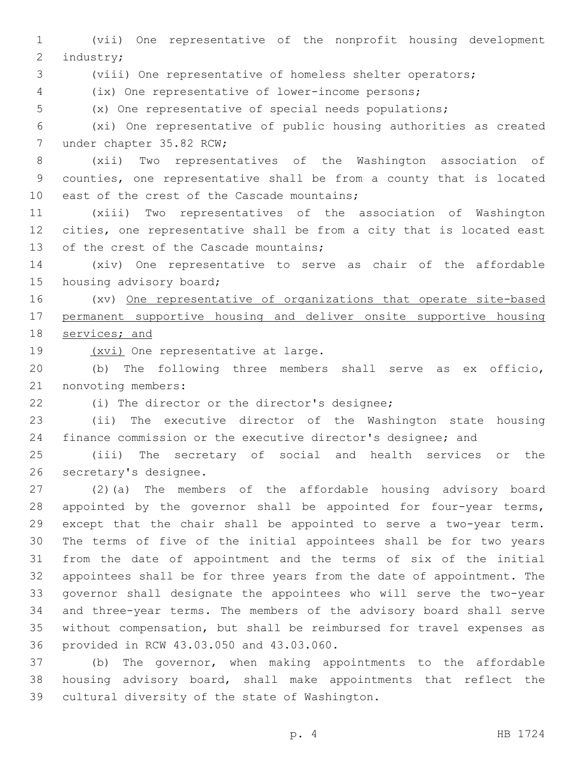(vii) One representative of the nonprofit housing development 2 industry;

(viii) One representative of homeless shelter operators;

(ix) One representative of lower-income persons;

(x) One representative of special needs populations;

 (xi) One representative of public housing authorities as created 7 under chapter 35.82 RCW;

 (xii) Two representatives of the Washington association of counties, one representative shall be from a county that is located 10 east of the crest of the Cascade mountains;

 (xiii) Two representatives of the association of Washington cities, one representative shall be from a city that is located east 13 of the crest of the Cascade mountains;

 (xiv) One representative to serve as chair of the affordable 15 housing advisory board;

 (xv) One representative of organizations that operate site-based permanent supportive housing and deliver onsite supportive housing services; and

19 (xvi) One representative at large.

 (b) The following three members shall serve as ex officio, 21 nonvoting members:

22 (i) The director or the director's designee;

 (ii) The executive director of the Washington state housing finance commission or the executive director's designee; and

 (iii) The secretary of social and health services or the 26 secretary's designee.

 (2)(a) The members of the affordable housing advisory board 28 appointed by the governor shall be appointed for four-year terms, except that the chair shall be appointed to serve a two-year term. The terms of five of the initial appointees shall be for two years from the date of appointment and the terms of six of the initial appointees shall be for three years from the date of appointment. The governor shall designate the appointees who will serve the two-year and three-year terms. The members of the advisory board shall serve without compensation, but shall be reimbursed for travel expenses as 36 provided in RCW 43.03.050 and 43.03.060.

 (b) The governor, when making appointments to the affordable housing advisory board, shall make appointments that reflect the 39 cultural diversity of the state of Washington.